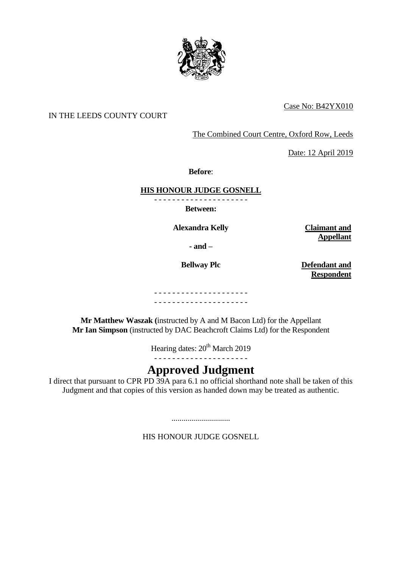

## Case No: B42YX010

## IN THE LEEDS COUNTY COURT

The Combined Court Centre, Oxford Row, Leeds

Date: 12 April 2019

**Before**:

### **HIS HONOUR JUDGE GOSNELL**

**Between:**

**Alexandra Kelly Claimant and** 

**- and –**

**Bellway Plc Defendant and Respondent** 

**Appellant** 

- - - - - - - - - - - - - - - - - - - - -

- - - - - - - - - - - - - - - - - - - - -

**Mr Matthew Waszak (**instructed by A and M Bacon Ltd) for the Appellant **Mr Ian Simpson** (instructed by DAC Beachcroft Claims Ltd) for the Respondent

Hearing dates: 20<sup>th</sup> March 2019

- - - - - - - - - - - - - - - - - - - - -

# **Approved Judgment**

I direct that pursuant to CPR PD 39A para 6.1 no official shorthand note shall be taken of this Judgment and that copies of this version as handed down may be treated as authentic.

HIS HONOUR JUDGE GOSNELL

.............................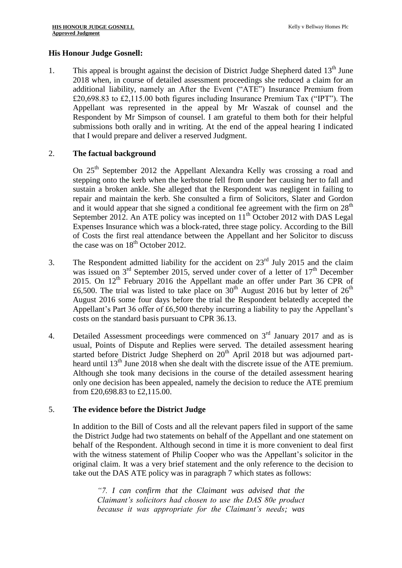#### **His Honour Judge Gosnell:**

1. This appeal is brought against the decision of District Judge Shepherd dated  $13<sup>th</sup>$  June 2018 when, in course of detailed assessment proceedings she reduced a claim for an additional liability, namely an After the Event ("ATE") Insurance Premium from £20,698.83 to £2,115.00 both figures including Insurance Premium Tax ("IPT"). The Appellant was represented in the appeal by Mr Waszak of counsel and the Respondent by Mr Simpson of counsel. I am grateful to them both for their helpful submissions both orally and in writing. At the end of the appeal hearing I indicated that I would prepare and deliver a reserved Judgment.

#### 2. **The factual background**

On 25<sup>th</sup> September 2012 the Appellant Alexandra Kelly was crossing a road and stepping onto the kerb when the kerbstone fell from under her causing her to fall and sustain a broken ankle. She alleged that the Respondent was negligent in failing to repair and maintain the kerb. She consulted a firm of Solicitors, Slater and Gordon and it would appear that she signed a conditional fee agreement with the firm on  $28<sup>th</sup>$ September 2012. An ATE policy was incepted on  $11<sup>th</sup>$  October 2012 with DAS Legal Expenses Insurance which was a block-rated, three stage policy. According to the Bill of Costs the first real attendance between the Appellant and her Solicitor to discuss the case was on  $18^{th}$  October 2012.

- 3. The Respondent admitted liability for the accident on  $23<sup>rd</sup>$  July 2015 and the claim was issued on  $3<sup>rd</sup>$  September 2015, served under cover of a letter of 17<sup>th</sup> December 2015. On 12<sup>th</sup> February 2016 the Appellant made an offer under Part 36 CPR of £6,500. The trial was listed to take place on  $30<sup>th</sup>$  August 2016 but by letter of  $26<sup>th</sup>$ August 2016 some four days before the trial the Respondent belatedly accepted the Appellant's Part 36 offer of £6,500 thereby incurring a liability to pay the Appellant's costs on the standard basis pursuant to CPR 36.13.
- 4. Detailed Assessment proceedings were commenced on  $3<sup>rd</sup>$  January 2017 and as is usual, Points of Dispute and Replies were served. The detailed assessment hearing started before District Judge Shepherd on  $20<sup>th</sup>$  April 2018 but was adjourned partheard until 13<sup>th</sup> June 2018 when she dealt with the discrete issue of the ATE premium. Although she took many decisions in the course of the detailed assessment hearing only one decision has been appealed, namely the decision to reduce the ATE premium from £20,698.83 to £2,115.00.

#### 5. **The evidence before the District Judge**

In addition to the Bill of Costs and all the relevant papers filed in support of the same the District Judge had two statements on behalf of the Appellant and one statement on behalf of the Respondent. Although second in time it is more convenient to deal first with the witness statement of Philip Cooper who was the Appellant's solicitor in the original claim. It was a very brief statement and the only reference to the decision to take out the DAS ATE policy was in paragraph 7 which states as follows:

*"7. I can confirm that the Claimant was advised that the Claimant's solicitors had chosen to use the DAS 80e product because it was appropriate for the Claimant's needs; was*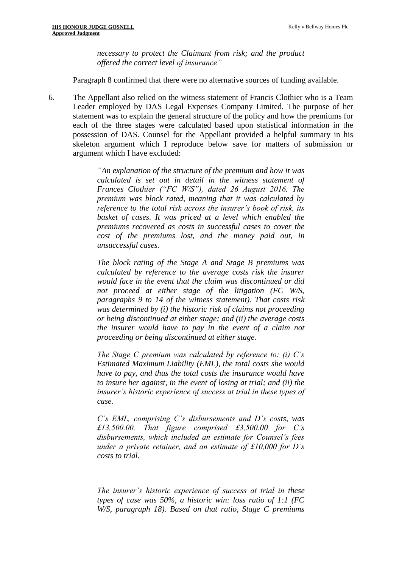*necessary to protect the Claimant from risk; and the product offered the correct level of insurance"* 

Paragraph 8 confirmed that there were no alternative sources of funding available.

6. The Appellant also relied on the witness statement of Francis Clothier who is a Team Leader employed by DAS Legal Expenses Company Limited. The purpose of her statement was to explain the general structure of the policy and how the premiums for each of the three stages were calculated based upon statistical information in the possession of DAS. Counsel for the Appellant provided a helpful summary in his skeleton argument which I reproduce below save for matters of submission or argument which I have excluded:

> *"An explanation of the structure of the premium and how it was calculated is set out in detail in the witness statement of Frances Clothier ("FC W/S"), dated 26 August 2016. The premium was block rated, meaning that it was calculated by reference to the total risk across the insurer's book of risk, its*  basket of cases. It was priced at a level which enabled the *premiums recovered as costs in successful cases to cover the cost of the premiums lost, and the money paid out, in unsuccessful cases.*

> *The block rating of the Stage A and Stage B premiums was calculated by reference to the average costs risk the insurer would face in the event that the claim was discontinued or did not proceed at either stage of the litigation (FC W/S, paragraphs 9 to 14 of the witness statement). That costs risk was determined by (i) the historic risk of claims not proceeding or being discontinued at either stage; and (ii) the average costs the insurer would have to pay in the event of a claim not proceeding or being discontinued at either stage.*

> *The Stage C premium was calculated by reference to: (i) C's Estimated Maximum Liability (EML), the total costs she would have to pay, and thus the total costs the insurance would have to insure her against, in the event of losing at trial; and (ii) the insurer's historic experience of success at trial in these types of case.*

> *C's EML, comprising C's disbursements and D's costs, was £13,500.00. That figure comprised £3,500.00 for C's disbursements, which included an estimate for Counsel's fees under a private retainer, and an estimate of £10,000 for D's costs to trial.*

> *The insurer's historic experience of success at trial in these types of case was 50%, a historic win: loss ratio of 1:1 (FC W/S, paragraph 18). Based on that ratio, Stage C premiums*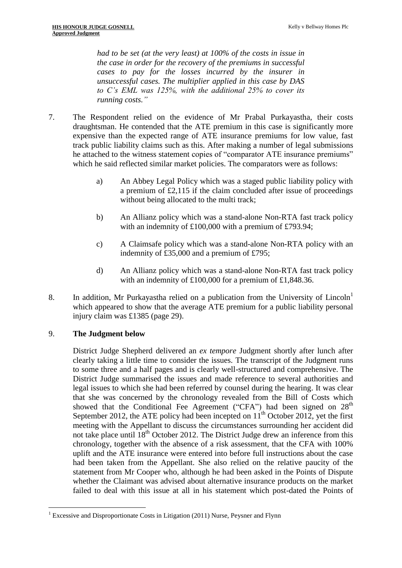*had to be set (at the very least) at 100% of the costs in issue in the case in order for the recovery of the premiums in successful cases to pay for the losses incurred by the insurer in unsuccessful cases. The multiplier applied in this case by DAS to C's EML was 125%, with the additional 25% to cover its running costs."*

- 7. The Respondent relied on the evidence of Mr Prabal Purkayastha, their costs draughtsman. He contended that the ATE premium in this case is significantly more expensive than the expected range of ATE insurance premiums for low value, fast track public liability claims such as this. After making a number of legal submissions he attached to the witness statement copies of "comparator ATE insurance premiums" which he said reflected similar market policies. The comparators were as follows:
	- a) An Abbey Legal Policy which was a staged public liability policy with a premium of £2,115 if the claim concluded after issue of proceedings without being allocated to the multi track;
	- b) An Allianz policy which was a stand-alone Non-RTA fast track policy with an indemnity of £100,000 with a premium of £793.94;
	- c) A Claimsafe policy which was a stand-alone Non-RTA policy with an indemnity of £35,000 and a premium of £795;
	- d) An Allianz policy which was a stand-alone Non-RTA fast track policy with an indemnity of £100,000 for a premium of £1,848.36.
- 8. In addition, Mr Purkayastha relied on a publication from the University of Lincoln<sup>1</sup> which appeared to show that the average ATE premium for a public liability personal injury claim was £1385 (page 29).

#### 9. **The Judgment below**

1

District Judge Shepherd delivered an *ex tempore* Judgment shortly after lunch after clearly taking a little time to consider the issues. The transcript of the Judgment runs to some three and a half pages and is clearly well-structured and comprehensive. The District Judge summarised the issues and made reference to several authorities and legal issues to which she had been referred by counsel during the hearing. It was clear that she was concerned by the chronology revealed from the Bill of Costs which showed that the Conditional Fee Agreement ("CFA") had been signed on 28<sup>th</sup> September 2012, the ATE policy had been incepted on  $11<sup>th</sup>$  October 2012, yet the first meeting with the Appellant to discuss the circumstances surrounding her accident did not take place until  $18<sup>th</sup>$  October 2012. The District Judge drew an inference from this chronology, together with the absence of a risk assessment, that the CFA with 100% uplift and the ATE insurance were entered into before full instructions about the case had been taken from the Appellant. She also relied on the relative paucity of the statement from Mr Cooper who, although he had been asked in the Points of Dispute whether the Claimant was advised about alternative insurance products on the market failed to deal with this issue at all in his statement which post-dated the Points of

<sup>&</sup>lt;sup>1</sup> Excessive and Disproportionate Costs in Litigation (2011) Nurse, Peysner and Flynn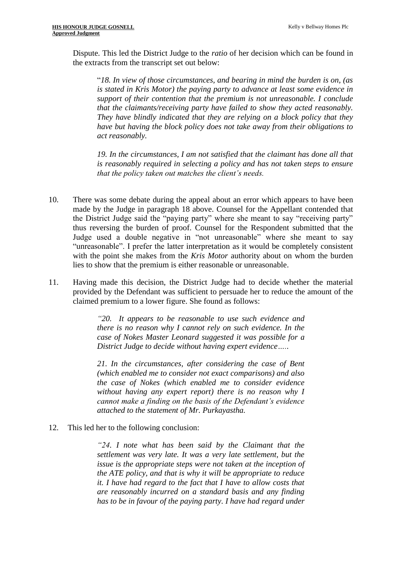Dispute. This led the District Judge to the *ratio* of her decision which can be found in the extracts from the transcript set out below:

"*18. In view of those circumstances, and bearing in mind the burden is on, (as is stated in Kris Motor) the paying party to advance at least some evidence in support of their contention that the premium is not unreasonable. I conclude that the claimants/receiving party have failed to show they acted reasonably. They have blindly indicated that they are relying on a block policy that they have but having the block policy does not take away from their obligations to act reasonably.* 

*19. In the circumstances, I am not satisfied that the claimant has done all that is reasonably required in selecting a policy and has not taken steps to ensure that the policy taken out matches the client's needs.* 

- 10. There was some debate during the appeal about an error which appears to have been made by the Judge in paragraph 18 above. Counsel for the Appellant contended that the District Judge said the "paying party" where she meant to say "receiving party" thus reversing the burden of proof. Counsel for the Respondent submitted that the Judge used a double negative in "not unreasonable" where she meant to say "unreasonable". I prefer the latter interpretation as it would be completely consistent with the point she makes from the *Kris Motor* authority about on whom the burden lies to show that the premium is either reasonable or unreasonable.
- 11. Having made this decision, the District Judge had to decide whether the material provided by the Defendant was sufficient to persuade her to reduce the amount of the claimed premium to a lower figure. She found as follows:

*"20. It appears to be reasonable to use such evidence and there is no reason why I cannot rely on such evidence. In the case of Nokes Master Leonard suggested it was possible for a District Judge to decide without having expert evidence…..*

*21. In the circumstances, after considering the case of Bent (which enabled me to consider not exact comparisons) and also the case of Nokes (which enabled me to consider evidence without having any expert report) there is no reason why I cannot make a finding on the basis of the Defendant's evidence attached to the statement of Mr. Purkayastha.*

12. This led her to the following conclusion:

*"24. I note what has been said by the Claimant that the settlement was very late. It was a very late settlement, but the issue is the appropriate steps were not taken at the inception of the ATE policy, and that is why it will be appropriate to reduce it. I have had regard to the fact that I have to allow costs that are reasonably incurred on a standard basis and any finding has to be in favour of the paying party. I have had regard under*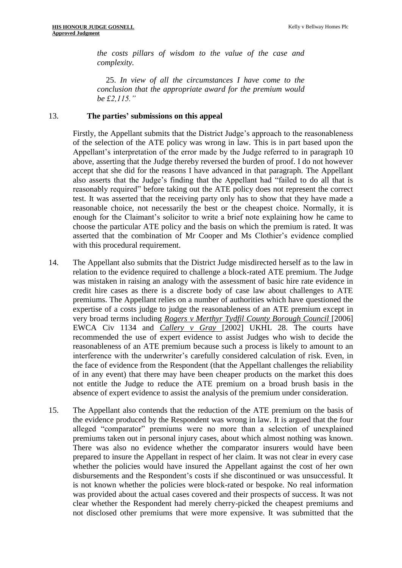*the costs pillars of wisdom to the value of the case and complexity.* 

25. *In view of all the circumstances I have come to the conclusion that the appropriate award for the premium would be £2,115."*

#### 13. **The parties' submissions on this appeal**

Firstly, the Appellant submits that the District Judge's approach to the reasonableness of the selection of the ATE policy was wrong in law. This is in part based upon the Appellant's interpretation of the error made by the Judge referred to in paragraph 10 above, asserting that the Judge thereby reversed the burden of proof. I do not however accept that she did for the reasons I have advanced in that paragraph. The Appellant also asserts that the Judge's finding that the Appellant had "failed to do all that is reasonably required" before taking out the ATE policy does not represent the correct test. It was asserted that the receiving party only has to show that they have made a reasonable choice, not necessarily the best or the cheapest choice. Normally, it is enough for the Claimant's solicitor to write a brief note explaining how he came to choose the particular ATE policy and the basis on which the premium is rated. It was asserted that the combination of Mr Cooper and Ms Clothier's evidence complied with this procedural requirement.

- 14. The Appellant also submits that the District Judge misdirected herself as to the law in relation to the evidence required to challenge a block-rated ATE premium. The Judge was mistaken in raising an analogy with the assessment of basic hire rate evidence in credit hire cases as there is a discrete body of case law about challenges to ATE premiums. The Appellant relies on a number of authorities which have questioned the expertise of a costs judge to judge the reasonableness of an ATE premium except in very broad terms including *Rogers v Merthyr Tydfil County Borough Council* [2006] EWCA Civ 1134 and *Callery v Gray* [2002] UKHL 28. The courts have recommended the use of expert evidence to assist Judges who wish to decide the reasonableness of an ATE premium because such a process is likely to amount to an interference with the underwriter's carefully considered calculation of risk. Even, in the face of evidence from the Respondent (that the Appellant challenges the reliability of in any event) that there may have been cheaper products on the market this does not entitle the Judge to reduce the ATE premium on a broad brush basis in the absence of expert evidence to assist the analysis of the premium under consideration.
- 15. The Appellant also contends that the reduction of the ATE premium on the basis of the evidence produced by the Respondent was wrong in law. It is argued that the four alleged "comparator" premiums were no more than a selection of unexplained premiums taken out in personal injury cases, about which almost nothing was known. There was also no evidence whether the comparator insurers would have been prepared to insure the Appellant in respect of her claim. It was not clear in every case whether the policies would have insured the Appellant against the cost of her own disbursements and the Respondent's costs if she discontinued or was unsuccessful. It is not known whether the policies were block-rated or bespoke. No real information was provided about the actual cases covered and their prospects of success. It was not clear whether the Respondent had merely cherry-picked the cheapest premiums and not disclosed other premiums that were more expensive. It was submitted that the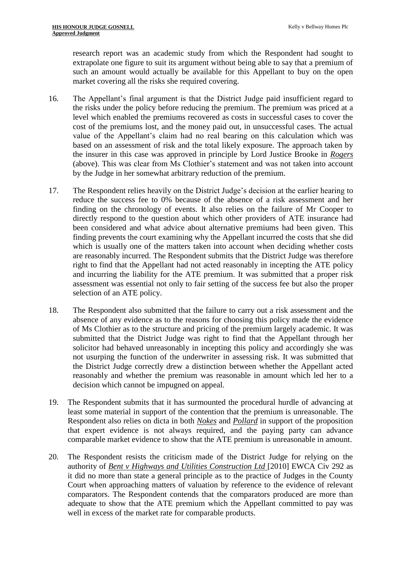research report was an academic study from which the Respondent had sought to extrapolate one figure to suit its argument without being able to say that a premium of such an amount would actually be available for this Appellant to buy on the open market covering all the risks she required covering.

- 16. The Appellant's final argument is that the District Judge paid insufficient regard to the risks under the policy before reducing the premium. The premium was priced at a level which enabled the premiums recovered as costs in successful cases to cover the cost of the premiums lost, and the money paid out, in unsuccessful cases. The actual value of the Appellant's claim had no real bearing on this calculation which was based on an assessment of risk and the total likely exposure. The approach taken by the insurer in this case was approved in principle by Lord Justice Brooke in *Rogers*  (above). This was clear from Ms Clothier's statement and was not taken into account by the Judge in her somewhat arbitrary reduction of the premium.
- 17. The Respondent relies heavily on the District Judge's decision at the earlier hearing to reduce the success fee to 0% because of the absence of a risk assessment and her finding on the chronology of events. It also relies on the failure of Mr Cooper to directly respond to the question about which other providers of ATE insurance had been considered and what advice about alternative premiums had been given. This finding prevents the court examining why the Appellant incurred the costs that she did which is usually one of the matters taken into account when deciding whether costs are reasonably incurred. The Respondent submits that the District Judge was therefore right to find that the Appellant had not acted reasonably in incepting the ATE policy and incurring the liability for the ATE premium. It was submitted that a proper risk assessment was essential not only to fair setting of the success fee but also the proper selection of an ATE policy.
- 18. The Respondent also submitted that the failure to carry out a risk assessment and the absence of any evidence as to the reasons for choosing this policy made the evidence of Ms Clothier as to the structure and pricing of the premium largely academic. It was submitted that the District Judge was right to find that the Appellant through her solicitor had behaved unreasonably in incepting this policy and accordingly she was not usurping the function of the underwriter in assessing risk. It was submitted that the District Judge correctly drew a distinction between whether the Appellant acted reasonably and whether the premium was reasonable in amount which led her to a decision which cannot be impugned on appeal.
- 19. The Respondent submits that it has surmounted the procedural hurdle of advancing at least some material in support of the contention that the premium is unreasonable. The Respondent also relies on dicta in both *Nokes* and *Pollard* in support of the proposition that expert evidence is not always required, and the paying party can advance comparable market evidence to show that the ATE premium is unreasonable in amount.
- 20. The Respondent resists the criticism made of the District Judge for relying on the authority of *Bent v Highways and Utilities Construction Ltd* [2010] EWCA Civ 292 as it did no more than state a general principle as to the practice of Judges in the County Court when approaching matters of valuation by reference to the evidence of relevant comparators. The Respondent contends that the comparators produced are more than adequate to show that the ATE premium which the Appellant committed to pay was well in excess of the market rate for comparable products.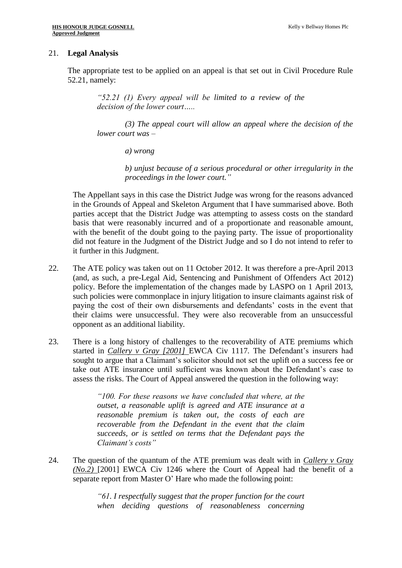#### 21. **Legal Analysis**

The appropriate test to be applied on an appeal is that set out in Civil Procedure Rule 52.21, namely:

*"52.21 (1) Every appeal will be limited to a review of the decision of the lower court…..*

*(3) The appeal court will allow an appeal where the decision of the lower court was –*

*a) wrong* 

*b) unjust because of a serious procedural or other irregularity in the proceedings in the lower court."*

The Appellant says in this case the District Judge was wrong for the reasons advanced in the Grounds of Appeal and Skeleton Argument that I have summarised above. Both parties accept that the District Judge was attempting to assess costs on the standard basis that were reasonably incurred and of a proportionate and reasonable amount, with the benefit of the doubt going to the paying party. The issue of proportionality did not feature in the Judgment of the District Judge and so I do not intend to refer to it further in this Judgment.

- 22. The ATE policy was taken out on 11 October 2012. It was therefore a pre-April 2013 (and, as such, a pre-Legal Aid, Sentencing and Punishment of Offenders Act 2012) policy. Before the implementation of the changes made by LASPO on 1 April 2013, such policies were commonplace in injury litigation to insure claimants against risk of paying the cost of their own disbursements and defendants' costs in the event that their claims were unsuccessful. They were also recoverable from an unsuccessful opponent as an additional liability.
- 23. There is a long history of challenges to the recoverability of ATE premiums which started in *Callery v Gray [2001]* EWCA Civ 1117*.* The Defendant's insurers had sought to argue that a Claimant's solicitor should not set the uplift on a success fee or take out ATE insurance until sufficient was known about the Defendant's case to assess the risks. The Court of Appeal answered the question in the following way:

*"100. For these reasons we have concluded that where, at the outset, a reasonable uplift is agreed and ATE insurance at a reasonable premium is taken out, the costs of each are recoverable from the Defendant in the event that the claim succeeds, or is settled on terms that the Defendant pays the Claimant's costs"*

24. The question of the quantum of the ATE premium was dealt with in *Callery v Gray (No.2)* [2001] EWCA Civ 1246 where the Court of Appeal had the benefit of a separate report from Master O' Hare who made the following point:

> *"61. I respectfully suggest that the proper function for the court when deciding questions of reasonableness concerning*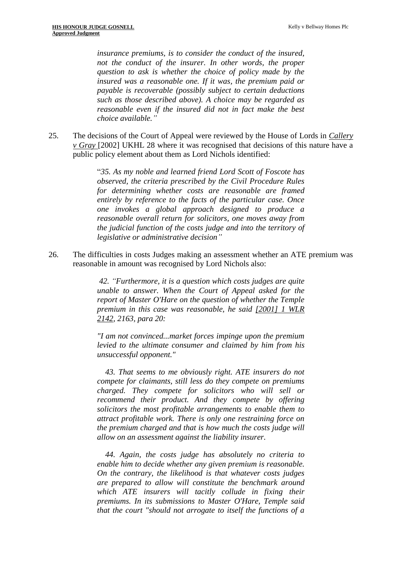*insurance premiums, is to consider the conduct of the insured, not the conduct of the insurer. In other words, the proper question to ask is whether the choice of policy made by the insured was a reasonable one. If it was, the premium paid or payable is recoverable (possibly subject to certain deductions such as those described above). A choice may be regarded as reasonable even if the insured did not in fact make the best choice available."*

25. The decisions of the Court of Appeal were reviewed by the House of Lords in *Callery v Gray* [2002] UKHL 28 where it was recognised that decisions of this nature have a public policy element about them as Lord Nichols identified:

> "*35. As my noble and learned friend Lord Scott of Foscote has observed, the criteria prescribed by the Civil Procedure Rules for determining whether costs are reasonable are framed entirely by reference to the facts of the particular case. Once one invokes a global approach designed to produce a reasonable overall return for solicitors, one moves away from the judicial function of the costs judge and into the territory of legislative or administrative decision"*

26. The difficulties in costs Judges making an assessment whether an ATE premium was reasonable in amount was recognised by Lord Nichols also:

> *42. "Furthermore, it is a question which costs judges are quite unable to answer. When the Court of Appeal asked for the report of Master O'Hare on the question of whether the Temple premium in this case was reasonable, he said [\[2001\] 1 WLR](https://www.bailii.org/cgi-bin/redirect.cgi?path=/ew/cases/EWCA/Civ/2001/1246.html)  [2142,](https://www.bailii.org/cgi-bin/redirect.cgi?path=/ew/cases/EWCA/Civ/2001/1246.html) 2163, para 20:*

> *"I am not convinced...market forces impinge upon the premium levied to the ultimate consumer and claimed by him from his unsuccessful opponent."*

> *43. That seems to me obviously right. ATE insurers do not compete for claimants, still less do they compete on premiums charged. They compete for solicitors who will sell or recommend their product. And they compete by offering solicitors the most profitable arrangements to enable them to attract profitable work. There is only one restraining force on the premium charged and that is how much the costs judge will allow on an assessment against the liability insurer.*

> *44. Again, the costs judge has absolutely no criteria to enable him to decide whether any given premium is reasonable. On the contrary, the likelihood is that whatever costs judges are prepared to allow will constitute the benchmark around which ATE insurers will tacitly collude in fixing their premiums. In its submissions to Master O'Hare, Temple said that the court "should not arrogate to itself the functions of a*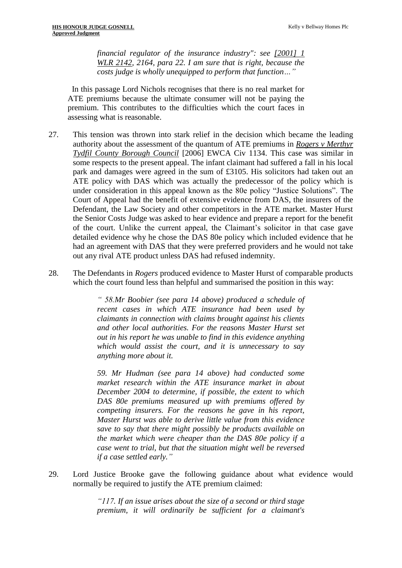*financial regulator of the insurance industry": see [\[2001\] 1](https://www.bailii.org/cgi-bin/redirect.cgi?path=/ew/cases/EWCA/Civ/2001/1246.html)  [WLR 2142,](https://www.bailii.org/cgi-bin/redirect.cgi?path=/ew/cases/EWCA/Civ/2001/1246.html) 2164, para 22. I am sure that is right, because the costs judge is wholly unequipped to perform that function…"*

 In this passage Lord Nichols recognises that there is no real market for ATE premiums because the ultimate consumer will not be paying the premium. This contributes to the difficulties which the court faces in assessing what is reasonable.

- 27. This tension was thrown into stark relief in the decision which became the leading authority about the assessment of the quantum of ATE premiums in *Rogers v Merthyr Tydfil County Borough Council* [2006] EWCA Civ 1134. This case was similar in some respects to the present appeal. The infant claimant had suffered a fall in his local park and damages were agreed in the sum of £3105. His solicitors had taken out an ATE policy with DAS which was actually the predecessor of the policy which is under consideration in this appeal known as the 80e policy "Justice Solutions". The Court of Appeal had the benefit of extensive evidence from DAS, the insurers of the Defendant, the Law Society and other competitors in the ATE market. Master Hurst the Senior Costs Judge was asked to hear evidence and prepare a report for the benefit of the court. Unlike the current appeal, the Claimant's solicitor in that case gave detailed evidence why he chose the DAS 80e policy which included evidence that he had an agreement with DAS that they were preferred providers and he would not take out any rival ATE product unless DAS had refused indemnity.
- 28. The Defendants in *Rogers* produced evidence to Master Hurst of comparable products which the court found less than helpful and summarised the position in this way:

*" 58.Mr Boobier (see para 14 above) produced a schedule of recent cases in which ATE insurance had been used by claimants in connection with claims brought against his clients and other local authorities. For the reasons Master Hurst set out in his report he was unable to find in this evidence anything which would assist the court, and it is unnecessary to say anything more about it.* 

*59. Mr Hudman (see para 14 above) had conducted some market research within the ATE insurance market in about December 2004 to determine, if possible, the extent to which DAS 80e premiums measured up with premiums offered by competing insurers. For the reasons he gave in his report, Master Hurst was able to derive little value from this evidence save to say that there might possibly be products available on the market which were cheaper than the DAS 80e policy if a case went to trial, but that the situation might well be reversed if a case settled early."*

29. Lord Justice Brooke gave the following guidance about what evidence would normally be required to justify the ATE premium claimed:

> *"117. If an issue arises about the size of a second or third stage premium, it will ordinarily be sufficient for a claimant's*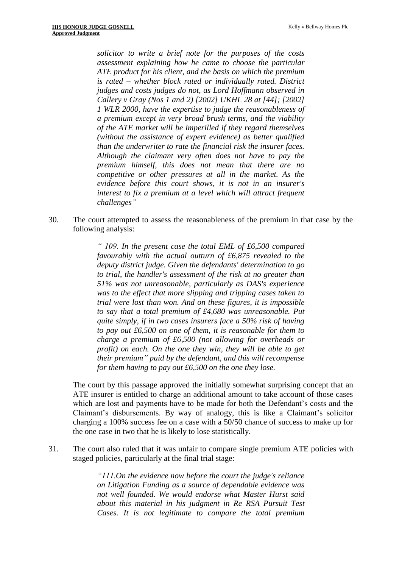*solicitor to write a brief note for the purposes of the costs assessment explaining how he came to choose the particular ATE product for his client, and the basis on which the premium is rated – whether block rated or individually rated. District judges and costs judges do not, as Lord Hoffmann observed in Callery v Gray (Nos 1 and 2) [\[2002\] UKHL 28](https://www.bailii.org/uk/cases/UKHL/2002/28.html) at [44]; [\[2002\]](https://www.bailii.org/cgi-bin/redirect.cgi?path=/uk/cases/UKHL/2002/28.html)  [1 WLR](https://www.bailii.org/cgi-bin/redirect.cgi?path=/uk/cases/UKHL/2002/28.html) 2000, have the expertise to judge the reasonableness of a premium except in very broad brush terms, and the viability of the ATE market will be imperilled if they regard themselves (without the assistance of expert evidence) as better qualified than the underwriter to rate the financial risk the insurer faces. Although the claimant very often does not have to pay the premium himself, this does not mean that there are no competitive or other pressures at all in the market. As the evidence before this court shows, it is not in an insurer's interest to fix a premium at a level which will attract frequent challenges"*

30. The court attempted to assess the reasonableness of the premium in that case by the following analysis:

> *" 109. In the present case the total EML of £6,500 compared favourably with the actual outturn of £6,875 revealed to the deputy district judge. Given the defendants' determination to go to trial, the handler's assessment of the risk at no greater than 51% was not unreasonable, particularly as DAS's experience was to the effect that more slipping and tripping cases taken to trial were lost than won. And on these figures, it is impossible to say that a total premium of £4,680 was unreasonable. Put quite simply, if in two cases insurers face a 50% risk of having to pay out £6,500 on one of them, it is reasonable for them to charge a premium of £6,500 (not allowing for overheads or profit) on each. On the one they win, they will be able to get their premium" paid by the defendant, and this will recompense for them having to pay out £6,500 on the one they lose.*

The court by this passage approved the initially somewhat surprising concept that an ATE insurer is entitled to charge an additional amount to take account of those cases which are lost and payments have to be made for both the Defendant's costs and the Claimant's disbursements. By way of analogy, this is like a Claimant's solicitor charging a 100% success fee on a case with a 50/50 chance of success to make up for the one case in two that he is likely to lose statistically.

31. The court also ruled that it was unfair to compare single premium ATE policies with staged policies, particularly at the final trial stage:

> *"111.On the evidence now before the court the judge's reliance on Litigation Funding as a source of dependable evidence was not well founded. We would endorse what Master Hurst said about this material in his judgment in Re RSA Pursuit Test Cases. It is not legitimate to compare the total premium*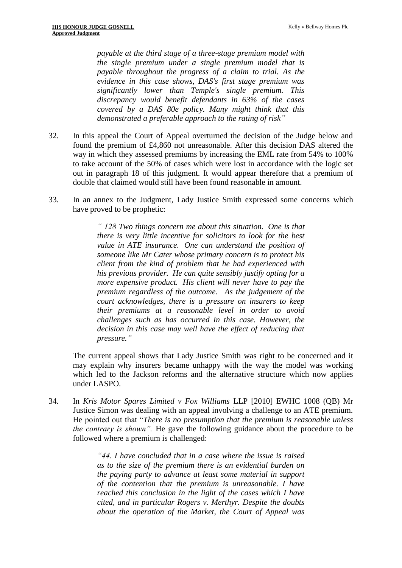*payable at the third stage of a three-stage premium model with the single premium under a single premium model that is payable throughout the progress of a claim to trial. As the evidence in this case shows, DAS's first stage premium was significantly lower than Temple's single premium. This discrepancy would benefit defendants in 63% of the cases covered by a DAS 80e policy. Many might think that this demonstrated a preferable approach to the rating of risk"*

- 32. In this appeal the Court of Appeal overturned the decision of the Judge below and found the premium of £4,860 not unreasonable. After this decision DAS altered the way in which they assessed premiums by increasing the EML rate from 54% to 100% to take account of the 50% of cases which were lost in accordance with the logic set out in paragraph 18 of this judgment. It would appear therefore that a premium of double that claimed would still have been found reasonable in amount.
- 33. In an annex to the Judgment, Lady Justice Smith expressed some concerns which have proved to be prophetic:

*" 128 Two things concern me about this situation. One is that there is very little incentive for solicitors to look for the best value in ATE insurance. One can understand the position of someone like Mr Cater whose primary concern is to protect his client from the kind of problem that he had experienced with his previous provider. He can quite sensibly justify opting for a more expensive product. His client will never have to pay the premium regardless of the outcome. As the judgement of the court acknowledges, there is a pressure on insurers to keep their premiums at a reasonable level in order to avoid challenges such as has occurred in this case. However, the decision in this case may well have the effect of reducing that pressure."*

The current appeal shows that Lady Justice Smith was right to be concerned and it may explain why insurers became unhappy with the way the model was working which led to the Jackson reforms and the alternative structure which now applies under LASPO.

34. In *Kris Motor Spares Limited v Fox Williams* LLP [2010] EWHC 1008 (QB) Mr Justice Simon was dealing with an appeal involving a challenge to an ATE premium. He pointed out that "*There is no presumption that the premium is reasonable unless the contrary is shown".* He gave the following guidance about the procedure to be followed where a premium is challenged:

> *"44. I have concluded that in a case where the issue is raised as to the size of the premium there is an evidential burden on the paying party to advance at least some material in support of the contention that the premium is unreasonable. I have reached this conclusion in the light of the cases which I have cited, and in particular Rogers v. Merthyr. Despite the doubts about the operation of the Market, the Court of Appeal was*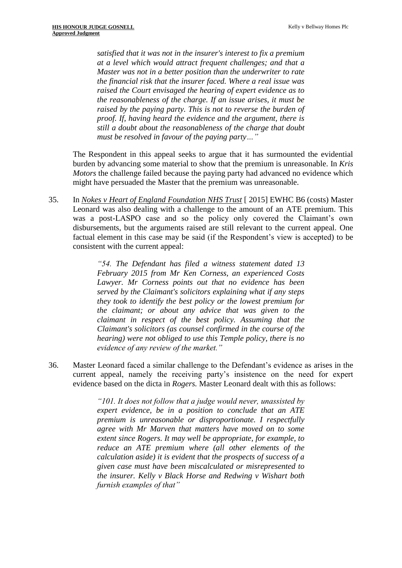*satisfied that it was not in the insurer's interest to fix a premium at a level which would attract frequent challenges; and that a Master was not in a better position than the underwriter to rate the financial risk that the insurer faced. Where a real issue was raised the Court envisaged the hearing of expert evidence as to the reasonableness of the charge. If an issue arises, it must be raised by the paying party. This is not to reverse the burden of proof. If, having heard the evidence and the argument, there is still a doubt about the reasonableness of the charge that doubt must be resolved in favour of the paying party…"*

The Respondent in this appeal seeks to argue that it has surmounted the evidential burden by advancing some material to show that the premium is unreasonable. In *Kris Motors* the challenge failed because the paying party had advanced no evidence which might have persuaded the Master that the premium was unreasonable.

35. In *Nokes v Heart of England Foundation NHS Trust* [ 2015] EWHC B6 (costs) Master Leonard was also dealing with a challenge to the amount of an ATE premium. This was a post-LASPO case and so the policy only covered the Claimant's own disbursements, but the arguments raised are still relevant to the current appeal. One factual element in this case may be said (if the Respondent's view is accepted) to be consistent with the current appeal:

> *"54. The Defendant has filed a witness statement dated 13 February 2015 from Mr Ken Corness, an experienced Costs Lawyer. Mr Corness points out that no evidence has been served by the Claimant's solicitors explaining what if any steps they took to identify the best policy or the lowest premium for the claimant; or about any advice that was given to the claimant in respect of the best policy. Assuming that the Claimant's solicitors (as counsel confirmed in the course of the hearing) were not obliged to use this Temple policy, there is no evidence of any review of the market."*

36. Master Leonard faced a similar challenge to the Defendant's evidence as arises in the current appeal, namely the receiving party's insistence on the need for expert evidence based on the dicta in *Rogers.* Master Leonard dealt with this as follows:

> *"101. It does not follow that a judge would never, unassisted by expert evidence, be in a position to conclude that an ATE premium is unreasonable or disproportionate. I respectfully agree with Mr Marven that matters have moved on to some extent since Rogers. It may well be appropriate, for example, to reduce an ATE premium where (all other elements of the calculation aside) it is evident that the prospects of success of a given case must have been miscalculated or misrepresented to the insurer. Kelly v Black Horse and Redwing v Wishart both furnish examples of that"*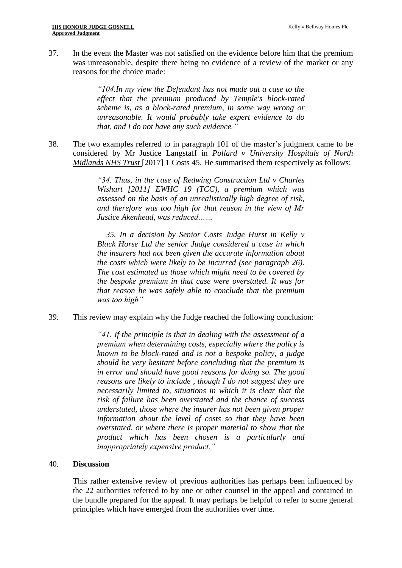37. In the event the Master was not satisfied on the evidence before him that the premium was unreasonable, despite there being no evidence of a review of the market or any reasons for the choice made:

> *"104.In my view the Defendant has not made out a case to the effect that the premium produced by Temple's block-rated scheme is, as a block-rated premium, in some way wrong or unreasonable. It would probably take expert evidence to do that, and I do not have any such evidence."*

38. The two examples referred to in paragraph 101 of the master's judgment came to be considered by Mr Justice Langstaff in *Pollard v University Hospitals of North Midlands NHS Trust* [2017] 1 Costs 45. He summarised them respectively as follows:

> *"34. Thus, in the case of Redwing Construction Ltd v Charles Wishart [2011] EWHC 19 (TCC), a premium which was assessed on the basis of an unrealistically high degree of risk, and therefore was too high for that reason in the view of Mr Justice Akenhead, was reduced……*

> *35. In a decision by Senior Costs Judge Hurst in Kelly v Black Horse Ltd the senior Judge considered a case in which the insurers had not been given the accurate information about the costs which were likely to be incurred (see paragraph 26). The cost estimated as those which might need to be covered by the bespoke premium in that case were overstated. It was for that reason he was safely able to conclude that the premium was too high"*

#### 39. This review may explain why the Judge reached the following conclusion:

*"41. If the principle is that in dealing with the assessment of a premium when determining costs, especially where the policy is known to be block-rated and is not a bespoke policy, a judge should be very hesitant before concluding that the premium is in error and should have good reasons for doing so. The good reasons are likely to include , though I do not suggest they are necessarily limited to, situations in which it is clear that the risk of failure has been overstated and the chance of success understated, those where the insurer has not been given proper information about the level of costs so that they have been overstated, or where there is proper material to show that the product which has been chosen is a particularly and inappropriately expensive product."*

#### 40. **Discussion**

This rather extensive review of previous authorities has perhaps been influenced by the 22 authorities referred to by one or other counsel in the appeal and contained in the bundle prepared for the appeal. It may perhaps be helpful to refer to some general principles which have emerged from the authorities over time.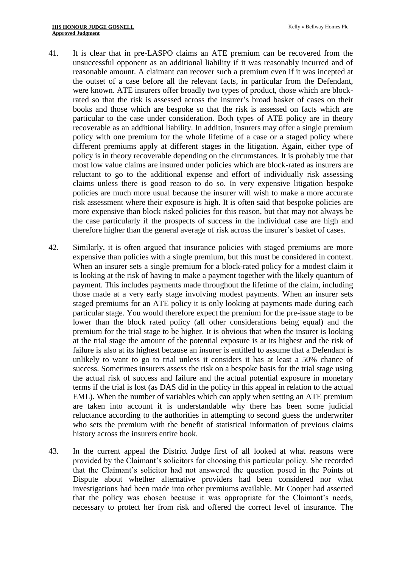- 41. It is clear that in pre-LASPO claims an ATE premium can be recovered from the unsuccessful opponent as an additional liability if it was reasonably incurred and of reasonable amount. A claimant can recover such a premium even if it was incepted at the outset of a case before all the relevant facts, in particular from the Defendant, were known. ATE insurers offer broadly two types of product, those which are blockrated so that the risk is assessed across the insurer's broad basket of cases on their books and those which are bespoke so that the risk is assessed on facts which are particular to the case under consideration. Both types of ATE policy are in theory recoverable as an additional liability. In addition, insurers may offer a single premium policy with one premium for the whole lifetime of a case or a staged policy where different premiums apply at different stages in the litigation. Again, either type of policy is in theory recoverable depending on the circumstances. It is probably true that most low value claims are insured under policies which are block-rated as insurers are reluctant to go to the additional expense and effort of individually risk assessing claims unless there is good reason to do so. In very expensive litigation bespoke policies are much more usual because the insurer will wish to make a more accurate risk assessment where their exposure is high. It is often said that bespoke policies are more expensive than block risked policies for this reason, but that may not always be the case particularly if the prospects of success in the individual case are high and therefore higher than the general average of risk across the insurer's basket of cases.
- 42. Similarly, it is often argued that insurance policies with staged premiums are more expensive than policies with a single premium, but this must be considered in context. When an insurer sets a single premium for a block-rated policy for a modest claim it is looking at the risk of having to make a payment together with the likely quantum of payment. This includes payments made throughout the lifetime of the claim, including those made at a very early stage involving modest payments. When an insurer sets staged premiums for an ATE policy it is only looking at payments made during each particular stage. You would therefore expect the premium for the pre-issue stage to be lower than the block rated policy (all other considerations being equal) and the premium for the trial stage to be higher. It is obvious that when the insurer is looking at the trial stage the amount of the potential exposure is at its highest and the risk of failure is also at its highest because an insurer is entitled to assume that a Defendant is unlikely to want to go to trial unless it considers it has at least a 50% chance of success. Sometimes insurers assess the risk on a bespoke basis for the trial stage using the actual risk of success and failure and the actual potential exposure in monetary terms if the trial is lost (as DAS did in the policy in this appeal in relation to the actual EML). When the number of variables which can apply when setting an ATE premium are taken into account it is understandable why there has been some judicial reluctance according to the authorities in attempting to second guess the underwriter who sets the premium with the benefit of statistical information of previous claims history across the insurers entire book.
- 43. In the current appeal the District Judge first of all looked at what reasons were provided by the Claimant's solicitors for choosing this particular policy. She recorded that the Claimant's solicitor had not answered the question posed in the Points of Dispute about whether alternative providers had been considered nor what investigations had been made into other premiums available. Mr Cooper had asserted that the policy was chosen because it was appropriate for the Claimant's needs, necessary to protect her from risk and offered the correct level of insurance. The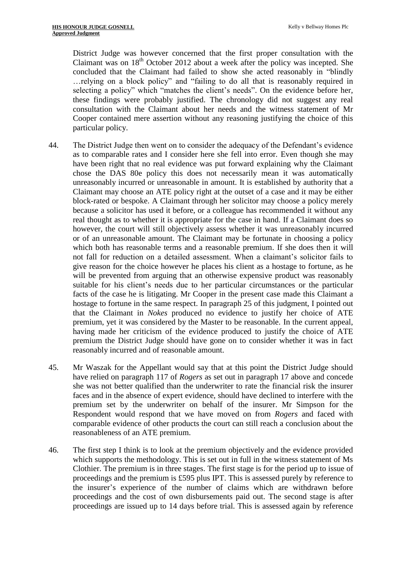District Judge was however concerned that the first proper consultation with the Claimant was on  $18<sup>th</sup>$  October 2012 about a week after the policy was incepted. She concluded that the Claimant had failed to show she acted reasonably in "blindly …relying on a block policy" and "failing to do all that is reasonably required in selecting a policy" which "matches the client's needs". On the evidence before her, these findings were probably justified. The chronology did not suggest any real consultation with the Claimant about her needs and the witness statement of Mr Cooper contained mere assertion without any reasoning justifying the choice of this particular policy.

- 44. The District Judge then went on to consider the adequacy of the Defendant's evidence as to comparable rates and I consider here she fell into error. Even though she may have been right that no real evidence was put forward explaining why the Claimant chose the DAS 80e policy this does not necessarily mean it was automatically unreasonably incurred or unreasonable in amount. It is established by authority that a Claimant may choose an ATE policy right at the outset of a case and it may be either block-rated or bespoke. A Claimant through her solicitor may choose a policy merely because a solicitor has used it before, or a colleague has recommended it without any real thought as to whether it is appropriate for the case in hand. If a Claimant does so however, the court will still objectively assess whether it was unreasonably incurred or of an unreasonable amount. The Claimant may be fortunate in choosing a policy which both has reasonable terms and a reasonable premium. If she does then it will not fall for reduction on a detailed assessment. When a claimant's solicitor fails to give reason for the choice however he places his client as a hostage to fortune, as he will be prevented from arguing that an otherwise expensive product was reasonably suitable for his client's needs due to her particular circumstances or the particular facts of the case he is litigating. Mr Cooper in the present case made this Claimant a hostage to fortune in the same respect. In paragraph 25 of this judgment, I pointed out that the Claimant in *Nokes* produced no evidence to justify her choice of ATE premium, yet it was considered by the Master to be reasonable. In the current appeal, having made her criticism of the evidence produced to justify the choice of ATE premium the District Judge should have gone on to consider whether it was in fact reasonably incurred and of reasonable amount.
- 45. Mr Waszak for the Appellant would say that at this point the District Judge should have relied on paragraph 117 of *Rogers* as set out in paragraph 17 above and concede she was not better qualified than the underwriter to rate the financial risk the insurer faces and in the absence of expert evidence, should have declined to interfere with the premium set by the underwriter on behalf of the insurer. Mr Simpson for the Respondent would respond that we have moved on from *Rogers* and faced with comparable evidence of other products the court can still reach a conclusion about the reasonableness of an ATE premium.
- 46. The first step I think is to look at the premium objectively and the evidence provided which supports the methodology. This is set out in full in the witness statement of Ms Clothier. The premium is in three stages. The first stage is for the period up to issue of proceedings and the premium is £595 plus IPT. This is assessed purely by reference to the insurer's experience of the number of claims which are withdrawn before proceedings and the cost of own disbursements paid out. The second stage is after proceedings are issued up to 14 days before trial. This is assessed again by reference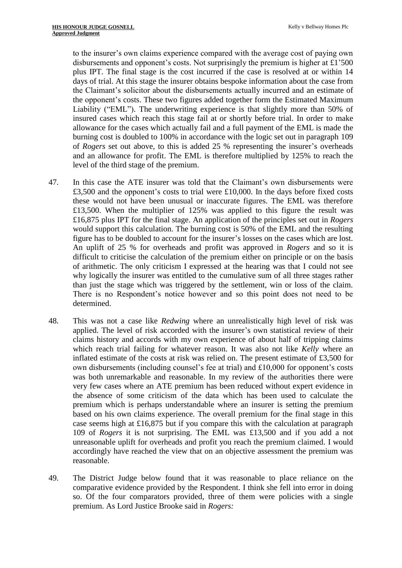to the insurer's own claims experience compared with the average cost of paying own disbursements and opponent's costs. Not surprisingly the premium is higher at £1'500 plus IPT. The final stage is the cost incurred if the case is resolved at or within 14 days of trial. At this stage the insurer obtains bespoke information about the case from the Claimant's solicitor about the disbursements actually incurred and an estimate of the opponent's costs. These two figures added together form the Estimated Maximum Liability ("EML"). The underwriting experience is that slightly more than 50% of insured cases which reach this stage fail at or shortly before trial. In order to make allowance for the cases which actually fail and a full payment of the EML is made the burning cost is doubled to 100% in accordance with the logic set out in paragraph 109 of *Rogers* set out above, to this is added 25 % representing the insurer's overheads and an allowance for profit. The EML is therefore multiplied by 125% to reach the level of the third stage of the premium.

- 47. In this case the ATE insurer was told that the Claimant's own disbursements were £3,500 and the opponent's costs to trial were £10,000. In the days before fixed costs these would not have been unusual or inaccurate figures. The EML was therefore £13,500. When the multiplier of 125% was applied to this figure the result was £16,875 plus IPT for the final stage. An application of the principles set out in *Rogers*  would support this calculation. The burning cost is 50% of the EML and the resulting figure has to be doubled to account for the insurer's losses on the cases which are lost. An uplift of 25 % for overheads and profit was approved in *Rogers* and so it is difficult to criticise the calculation of the premium either on principle or on the basis of arithmetic. The only criticism I expressed at the hearing was that I could not see why logically the insurer was entitled to the cumulative sum of all three stages rather than just the stage which was triggered by the settlement, win or loss of the claim. There is no Respondent's notice however and so this point does not need to be determined.
- 48. This was not a case like *Redwing* where an unrealistically high level of risk was applied. The level of risk accorded with the insurer's own statistical review of their claims history and accords with my own experience of about half of tripping claims which reach trial failing for whatever reason. It was also not like *Kelly* where an inflated estimate of the costs at risk was relied on. The present estimate of £3,500 for own disbursements (including counsel's fee at trial) and £10,000 for opponent's costs was both unremarkable and reasonable. In my review of the authorities there were very few cases where an ATE premium has been reduced without expert evidence in the absence of some criticism of the data which has been used to calculate the premium which is perhaps understandable where an insurer is setting the premium based on his own claims experience. The overall premium for the final stage in this case seems high at £16,875 but if you compare this with the calculation at paragraph 109 of *Rogers* it is not surprising. The EML was £13,500 and if you add a not unreasonable uplift for overheads and profit you reach the premium claimed. I would accordingly have reached the view that on an objective assessment the premium was reasonable.
- 49. The District Judge below found that it was reasonable to place reliance on the comparative evidence provided by the Respondent. I think she fell into error in doing so. Of the four comparators provided, three of them were policies with a single premium. As Lord Justice Brooke said in *Rogers:*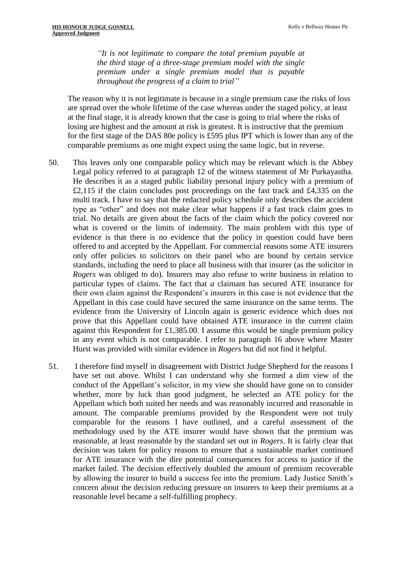*"It is not legitimate to compare the total premium payable at the third stage of a three-stage premium model with the single premium under a single premium model that is payable throughout the progress of a claim to trial"*

The reason why it is not legitimate is because in a single premium case the risks of loss are spread over the whole lifetime of the case whereas under the staged policy, at least at the final stage, it is already known that the case is going to trial where the risks of losing are highest and the amount at risk is greatest. It is instructive that the premium for the first stage of the DAS 80e policy is £595 plus IPT which is lower than any of the comparable premiums as one might expect using the same logic, but in reverse.

- 50. This leaves only one comparable policy which may be relevant which is the Abbey Legal policy referred to at paragraph 12 of the witness statement of Mr Purkayastha. He describes it as a staged public liability personal injury policy with a premium of £2,115 if the claim concludes post proceedings on the fast track and £4,335 on the multi track. I have to say that the redacted policy schedule only describes the accident type as "other" and does not make clear what happens if a fast track claim goes to trial. No details are given about the facts of the claim which the policy covered nor what is covered or the limits of indemnity. The main problem with this type of evidence is that there is no evidence that the policy in question could have been offered to and accepted by the Appellant. For commercial reasons some ATE insurers only offer policies to solicitors on their panel who are bound by certain service standards, including the need to place all business with that insurer (as the solicitor in *Rogers* was obliged to do). Insurers may also refuse to write business in relation to particular types of claims. The fact that *a* claimant has secured ATE insurance for their own claim against the Respondent's insurers in this case is not evidence that the Appellant in this case could have secured the same insurance on the same terms. The evidence from the University of Lincoln again is generic evidence which does not prove that this Appellant could have obtained ATE insurance in the current claim against this Respondent for £1,385.00. I assume this would be single premium policy in any event which is not comparable. I refer to paragraph 16 above where Master Hurst was provided with similar evidence in *Rogers* but did not find it helpful.
- 51. I therefore find myself in disagreement with District Judge Shepherd for the reasons I have set out above. Whilst I can understand why she formed a dim view of the conduct of the Appellant's solicitor, in my view she should have gone on to consider whether, more by luck than good judgment, he selected an ATE policy for the Appellant which both suited her needs and was reasonably incurred and reasonable in amount. The comparable premiums provided by the Respondent were not truly comparable for the reasons I have outlined, and a careful assessment of the methodology used by the ATE insurer would have shown that the premium was reasonable, at least reasonable by the standard set out in *Rogers*. It is fairly clear that decision was taken for policy reasons to ensure that a sustainable market continued for ATE insurance with the dire potential consequences for access to justice if the market failed. The decision effectively doubled the amount of premium recoverable by allowing the insurer to build a success fee into the premium. Lady Justice Smith's concern about the decision reducing pressure on insurers to keep their premiums at a reasonable level became a self-fulfilling prophecy.